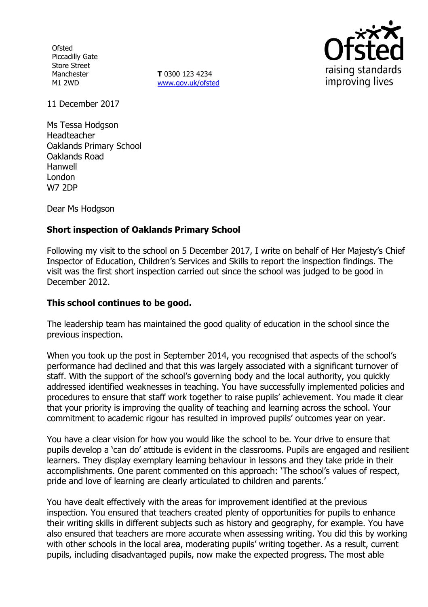**Ofsted** Piccadilly Gate Store Street Manchester M1 2WD

**T** 0300 123 4234 www.gov.uk/ofsted



11 December 2017

Ms Tessa Hodgson Headteacher Oaklands Primary School Oaklands Road Hanwell London W7 2DP

Dear Ms Hodgson

## **Short inspection of Oaklands Primary School**

Following my visit to the school on 5 December 2017, I write on behalf of Her Majesty's Chief Inspector of Education, Children's Services and Skills to report the inspection findings. The visit was the first short inspection carried out since the school was judged to be good in December 2012.

### **This school continues to be good.**

The leadership team has maintained the good quality of education in the school since the previous inspection.

When you took up the post in September 2014, you recognised that aspects of the school's performance had declined and that this was largely associated with a significant turnover of staff. With the support of the school's governing body and the local authority, you quickly addressed identified weaknesses in teaching. You have successfully implemented policies and procedures to ensure that staff work together to raise pupils' achievement. You made it clear that your priority is improving the quality of teaching and learning across the school. Your commitment to academic rigour has resulted in improved pupils' outcomes year on year.

You have a clear vision for how you would like the school to be. Your drive to ensure that pupils develop a 'can do' attitude is evident in the classrooms. Pupils are engaged and resilient learners. They display exemplary learning behaviour in lessons and they take pride in their accomplishments. One parent commented on this approach: 'The school's values of respect, pride and love of learning are clearly articulated to children and parents.'

You have dealt effectively with the areas for improvement identified at the previous inspection. You ensured that teachers created plenty of opportunities for pupils to enhance their writing skills in different subjects such as history and geography, for example. You have also ensured that teachers are more accurate when assessing writing. You did this by working with other schools in the local area, moderating pupils' writing together. As a result, current pupils, including disadvantaged pupils, now make the expected progress. The most able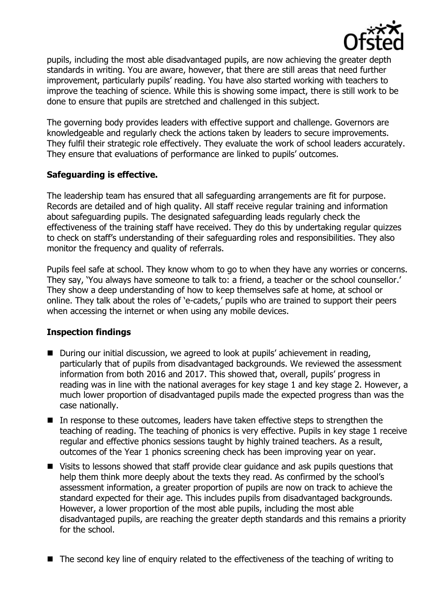

pupils, including the most able disadvantaged pupils, are now achieving the greater depth standards in writing. You are aware, however, that there are still areas that need further improvement, particularly pupils' reading. You have also started working with teachers to improve the teaching of science. While this is showing some impact, there is still work to be done to ensure that pupils are stretched and challenged in this subject.

The governing body provides leaders with effective support and challenge. Governors are knowledgeable and regularly check the actions taken by leaders to secure improvements. They fulfil their strategic role effectively. They evaluate the work of school leaders accurately. They ensure that evaluations of performance are linked to pupils' outcomes.

### **Safeguarding is effective.**

The leadership team has ensured that all safeguarding arrangements are fit for purpose. Records are detailed and of high quality. All staff receive regular training and information about safeguarding pupils. The designated safeguarding leads regularly check the effectiveness of the training staff have received. They do this by undertaking regular quizzes to check on staff's understanding of their safeguarding roles and responsibilities. They also monitor the frequency and quality of referrals.

Pupils feel safe at school. They know whom to go to when they have any worries or concerns. They say, 'You always have someone to talk to: a friend, a teacher or the school counsellor.' They show a deep understanding of how to keep themselves safe at home, at school or online. They talk about the roles of 'e-cadets,' pupils who are trained to support their peers when accessing the internet or when using any mobile devices.

### **Inspection findings**

- During our initial discussion, we agreed to look at pupils' achievement in reading, particularly that of pupils from disadvantaged backgrounds. We reviewed the assessment information from both 2016 and 2017. This showed that, overall, pupils' progress in reading was in line with the national averages for key stage 1 and key stage 2. However, a much lower proportion of disadvantaged pupils made the expected progress than was the case nationally.
- In response to these outcomes, leaders have taken effective steps to strengthen the teaching of reading. The teaching of phonics is very effective. Pupils in key stage 1 receive regular and effective phonics sessions taught by highly trained teachers. As a result, outcomes of the Year 1 phonics screening check has been improving year on year.
- Visits to lessons showed that staff provide clear guidance and ask pupils questions that help them think more deeply about the texts they read. As confirmed by the school's assessment information, a greater proportion of pupils are now on track to achieve the standard expected for their age. This includes pupils from disadvantaged backgrounds. However, a lower proportion of the most able pupils, including the most able disadvantaged pupils, are reaching the greater depth standards and this remains a priority for the school.
- The second key line of enquiry related to the effectiveness of the teaching of writing to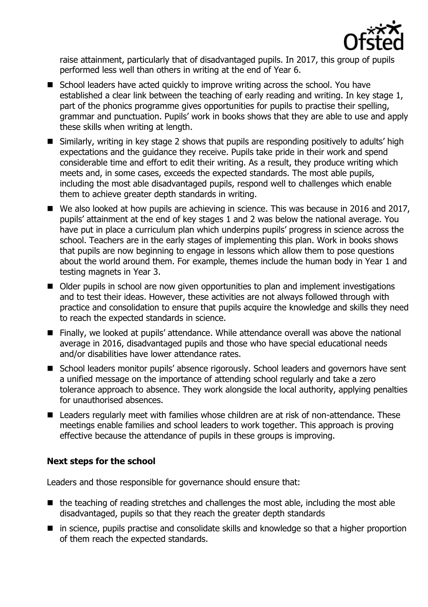

raise attainment, particularly that of disadvantaged pupils. In 2017, this group of pupils performed less well than others in writing at the end of Year 6.

- School leaders have acted quickly to improve writing across the school. You have established a clear link between the teaching of early reading and writing. In key stage 1, part of the phonics programme gives opportunities for pupils to practise their spelling, grammar and punctuation. Pupils' work in books shows that they are able to use and apply these skills when writing at length.
- Similarly, writing in key stage 2 shows that pupils are responding positively to adults' high expectations and the guidance they receive. Pupils take pride in their work and spend considerable time and effort to edit their writing. As a result, they produce writing which meets and, in some cases, exceeds the expected standards. The most able pupils, including the most able disadvantaged pupils, respond well to challenges which enable them to achieve greater depth standards in writing.
- We also looked at how pupils are achieving in science. This was because in 2016 and 2017, pupils' attainment at the end of key stages 1 and 2 was below the national average. You have put in place a curriculum plan which underpins pupils' progress in science across the school. Teachers are in the early stages of implementing this plan. Work in books shows that pupils are now beginning to engage in lessons which allow them to pose questions about the world around them. For example, themes include the human body in Year 1 and testing magnets in Year 3.
- Older pupils in school are now given opportunities to plan and implement investigations and to test their ideas. However, these activities are not always followed through with practice and consolidation to ensure that pupils acquire the knowledge and skills they need to reach the expected standards in science.
- Finally, we looked at pupils' attendance. While attendance overall was above the national average in 2016, disadvantaged pupils and those who have special educational needs and/or disabilities have lower attendance rates.
- School leaders monitor pupils' absence rigorously. School leaders and governors have sent a unified message on the importance of attending school regularly and take a zero tolerance approach to absence. They work alongside the local authority, applying penalties for unauthorised absences.
- Leaders regularly meet with families whose children are at risk of non-attendance. These meetings enable families and school leaders to work together. This approach is proving effective because the attendance of pupils in these groups is improving.

# **Next steps for the school**

Leaders and those responsible for governance should ensure that:

- $\blacksquare$  the teaching of reading stretches and challenges the most able, including the most able disadvantaged, pupils so that they reach the greater depth standards
- in science, pupils practise and consolidate skills and knowledge so that a higher proportion of them reach the expected standards.